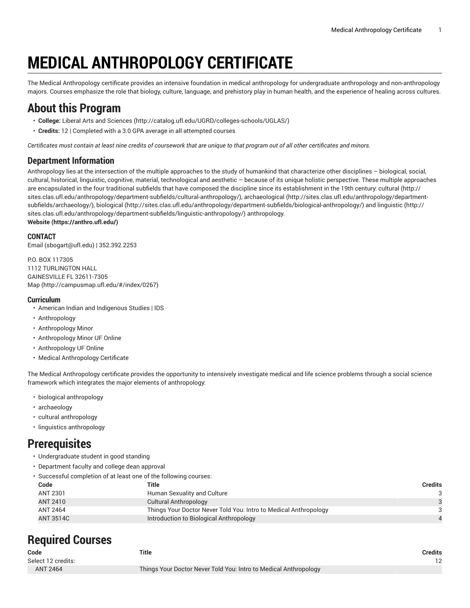# **MEDICAL ANTHROPOLOGY CERTIFICATE**

The Medical Anthropology certificate provides an intensive foundation in medical anthropology for undergraduate anthropology and non-anthropology majors. Courses emphasize the role that biology, culture, language, and prehistory play in human health, and the experience of healing across cultures.

## **About this Program**

- **College:** Liberal Arts and [Sciences](http://catalog.ufl.edu/UGRD/colleges-schools/UGLAS/) ([http://catalog.ufl.edu/UGRD/colleges-schools/UGLAS/\)](http://catalog.ufl.edu/UGRD/colleges-schools/UGLAS/)
- **Credits:** 12 | Completed with a 3.0 GPA average in all attempted courses

Certificates must contain at least nine credits of coursework that are unique to that program out of all other certificates and minors.

### **Department Information**

Anthropology lies at the intersection of the multiple approaches to the study of humankind that characterize other disciplines – biological, social, cultural, historical, linguistic, cognitive, material, technological and aesthetic – because of its unique holistic perspective. These multiple approaches are encapsulated in the four traditional subfields that have composed the discipline since its establishment in the 19th century: [cultural](http://sites.clas.ufl.edu/anthropology/department-subfields/cultural-anthropology/) ([http://](http://sites.clas.ufl.edu/anthropology/department-subfields/cultural-anthropology/) [sites.clas.ufl.edu/anthropology/department-subfields/cultural-anthropology/\)](http://sites.clas.ufl.edu/anthropology/department-subfields/cultural-anthropology/), [archaeological \(http://sites.clas.ufl.edu/anthropology/department](http://sites.clas.ufl.edu/anthropology/department-subfields/archaeology/)[subfields/archaeology/](http://sites.clas.ufl.edu/anthropology/department-subfields/archaeology/)), [biological](http://sites.clas.ufl.edu/anthropology/department-subfields/biological-anthropology/) [\(http://sites.clas.ufl.edu/anthropology/department-subfields/biological-anthropology/\)](http://sites.clas.ufl.edu/anthropology/department-subfields/biological-anthropology/) and [linguistic \(http://](http://sites.clas.ufl.edu/anthropology/department-subfields/linguistic-anthropology/) [sites.clas.ufl.edu/anthropology/department-subfields/linguistic-anthropology/](http://sites.clas.ufl.edu/anthropology/department-subfields/linguistic-anthropology/)) anthropology. **[Website](https://anthro.ufl.edu/) (<https://anthro.ufl.edu/>)**

#### **CONTACT**

[Email](mailto:sbogart@ufl.edu) (<sbogart@ufl.edu>) | 352.392.2253

P.O. BOX 117305 1112 TURLINGTON HALL GAINESVILLE FL 32611-7305 [Map](http://campusmap.ufl.edu/#/index/0267) ([http://campusmap.ufl.edu/#/index/0267\)](http://campusmap.ufl.edu/#/index/0267)

#### **Curriculum**

- American Indian and Indigenous Studies | IDS
- Anthropology
- Anthropology Minor
- Anthropology Minor UF Online
- Anthropology UF Online
- Medical Anthropology Certificate

The Medical Anthropology certificate provides the opportunity to intensively investigate medical and life science problems through a social science framework which integrates the major elements of anthropology:

- biological anthropology
- archaeology
- cultural anthropology
- linguistics anthropology

### **Prerequisites**

- Undergraduate student in good standing
- Department faculty and college dean approval
- Successful completion of at least one of the following courses:

| Code            | Title                                                            | <b>Credits</b> |
|-----------------|------------------------------------------------------------------|----------------|
| <b>ANT 2301</b> | Human Sexuality and Culture                                      |                |
| ANT 2410        | Cultural Anthropology                                            |                |
| <b>ANT 2464</b> | Things Your Doctor Never Told You: Intro to Medical Anthropology |                |
| ANT 3514C       | Introduction to Biological Anthropology                          |                |
|                 |                                                                  |                |

### **Required Courses**

| Title                                                            | <b>Credits</b> |
|------------------------------------------------------------------|----------------|
|                                                                  | $12 \,$        |
| Things Your Doctor Never Told You: Intro to Medical Anthropology |                |
|                                                                  |                |